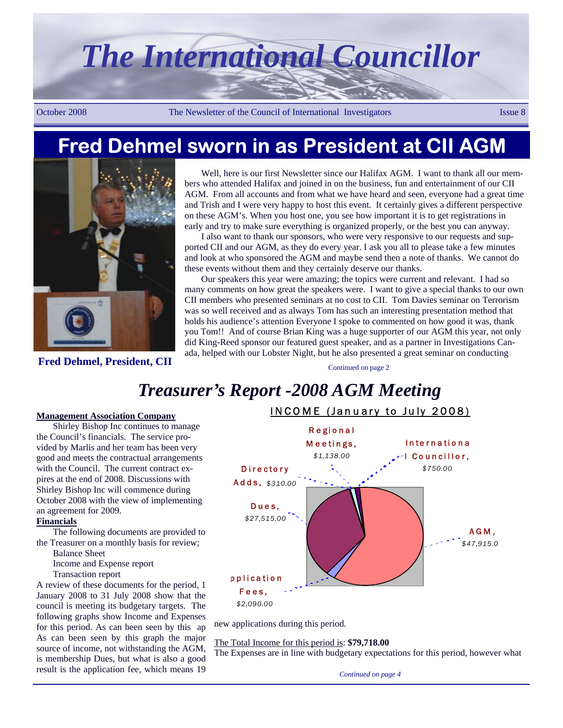# *The International Councillor*

October 2008 The Newsletter of the Council of International Investigators Issue 8

# **Fred Dehmel sworn in as President at CII AGM**



**Fred Dehmel, President, CII** 

Well, here is our first Newsletter since our Halifax AGM. I want to thank all our members who attended Halifax and joined in on the business, fun and entertainment of our CII AGM. From all accounts and from what we have heard and seen, everyone had a great time and Trish and I were very happy to host this event. It certainly gives a different perspective on these AGM's. When you host one, you see how important it is to get registrations in early and try to make sure everything is organized properly, or the best you can anyway.

I also want to thank our sponsors, who were very responsive to our requests and supported CII and our AGM, as they do every year. I ask you all to please take a few minutes and look at who sponsored the AGM and maybe send then a note of thanks. We cannot do these events without them and they certainly deserve our thanks.

Our speakers this year were amazing; the topics were current and relevant. I had so many comments on how great the speakers were. I want to give a special thanks to our own CII members who presented seminars at no cost to CII. Tom Davies seminar on Terrorism was so well received and as always Tom has such an interesting presentation method that holds his audience's attention Everyone I spoke to commented on how good it was, thank you Tom!! And of course Brian King was a huge supporter of our AGM this year, not only did King-Reed sponsor our featured guest speaker, and as a partner in Investigations Canada, helped with our Lobster Night, but he also presented a great seminar on conducting

Continued on page 2

# *Treasurer's Report -2008 AGM Meeting*

### **Management Association Company**

Shirley Bishop Inc continues to manage the Council's financials. The service provided by Marlis and her team has been very good and meets the contractual arrangements with the Council. The current contract expires at the end of 2008. Discussions with Shirley Bishop Inc will commence during October 2008 with the view of implementing an agreement for 2009.

## **Financials**

The following documents are provided to the Treasurer on a monthly basis for review;

- Balance Sheet
- Income and Expense report
- Transaction report

A review of these documents for the period, 1 January 2008 to 31 July 2008 show that the council is meeting its budgetary targets. The following graphs show Income and Expenses for this period. As can been seen by this ap As can been seen by this graph the major source of income, not withstanding the AGM, is membership Dues, but what is also a good result is the application fee, which means 19



new applications during this period.

The Total Income for this period is: **\$79,718.00**

The Expenses are in line with budgetary expectations for this period, however what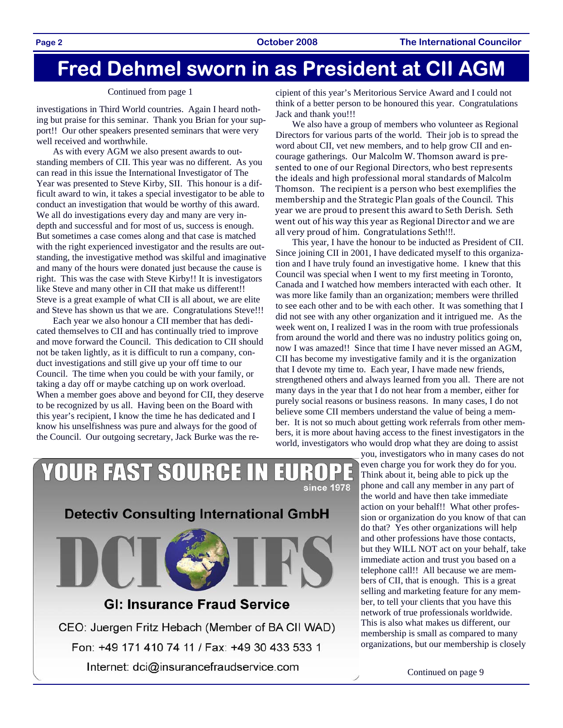# **Fred Dehmel sworn in as President at CII AGM**

1 E 1

## Continued from page 1

investigations in Third World countries. Again I heard nothing but praise for this seminar. Thank you Brian for your support!! Our other speakers presented seminars that were very well received and worthwhile.

As with every AGM we also present awards to outstanding members of CII. This year was no different. As you can read in this issue the International Investigator of The Year was presented to Steve Kirby, SII. This honour is a difficult award to win, it takes a special investigator to be able to conduct an investigation that would be worthy of this award. We all do investigations every day and many are very indepth and successful and for most of us, success is enough. But sometimes a case comes along and that case is matched with the right experienced investigator and the results are outstanding, the investigative method was skilful and imaginative and many of the hours were donated just because the cause is right. This was the case with Steve Kirby!! It is investigators like Steve and many other in CII that make us different!! Steve is a great example of what CII is all about, we are elite and Steve has shown us that we are. Congratulations Steve!!!

Each year we also honour a CII member that has dedicated themselves to CII and has continually tried to improve and move forward the Council. This dedication to CII should not be taken lightly, as it is difficult to run a company, conduct investigations and still give up your off time to our Council. The time when you could be with your family, or taking a day off or maybe catching up on work overload. When a member goes above and beyond for CII, they deserve to be recognized by us all. Having been on the Board with this year's recipient, I know the time he has dedicated and I know his unselfishness was pure and always for the good of the Council. Our outgoing secretary, Jack Burke was the re-

**YOUR FAST SOURCE IN** 

cipient of this year's Meritorious Service Award and I could not think of a better person to be honoured this year. Congratulations Jack and thank you!!!

We also have a group of members who volunteer as Regional Directors for various parts of the world. Their job is to spread the word about CII, vet new members, and to help grow CII and encourage gatherings. Our Malcolm W. Thomson award is pre‐ sented to one of our Regional Directors, who best represents the ideals and high professional moral standards of Malcolm Thomson. The recipient is a person who best exemplifies the membership and the Strategic Plan goals of the Council. This year we are proud to present this award to Seth Derish. Seth went out of his way this year as Regional Director and we are all very proud of him. Congratulations Seth!!!.

This year, I have the honour to be inducted as President of CII. Since joining CII in 2001, I have dedicated myself to this organization and I have truly found an investigative home. I knew that this Council was special when I went to my first meeting in Toronto, Canada and I watched how members interacted with each other. It was more like family than an organization; members were thrilled to see each other and to be with each other. It was something that I did not see with any other organization and it intrigued me. As the week went on, I realized I was in the room with true professionals from around the world and there was no industry politics going on, now I was amazed!! Since that time I have never missed an AGM, CII has become my investigative family and it is the organization that I devote my time to. Each year, I have made new friends, strengthened others and always learned from you all. There are not many days in the year that I do not hear from a member, either for purely social reasons or business reasons. In many cases, I do not believe some CII members understand the value of being a member. It is not so much about getting work referrals from other members, it is more about having access to the finest investigators in the world, investigators who would drop what they are doing to assist



since 1978 **Detectiv Consulting International GmbH** 

# **GI: Insurance Fraud Service**

CEO: Juergen Fritz Hebach (Member of BA CII WAD) Fon: +49 171 410 74 11 / Fax: +49 30 433 533 1 Internet: dci@insurancefraudservice.com

Continued on page 9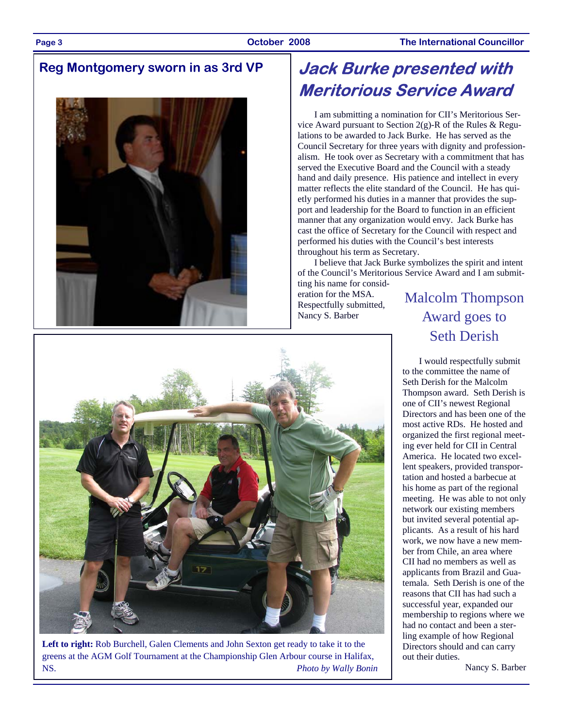# **Reg Montgomery sworn in as 3rd VP**



# **Jack Burke presented with Meritorious Service Award**

I am submitting a nomination for CII's Meritorious Service Award pursuant to Section  $2(g)$ -R of the Rules & Regulations to be awarded to Jack Burke. He has served as the Council Secretary for three years with dignity and professionalism. He took over as Secretary with a commitment that has served the Executive Board and the Council with a steady hand and daily presence. His patience and intellect in every matter reflects the elite standard of the Council. He has quietly performed his duties in a manner that provides the support and leadership for the Board to function in an efficient manner that any organization would envy. Jack Burke has cast the office of Secretary for the Council with respect and performed his duties with the Council's best interests throughout his term as Secretary.

I believe that Jack Burke symbolizes the spirit and intent of the Council's Meritorious Service Award and I am submitting his name for consid-

eration for the MSA. Respectfully submitted, Nancy S. Barber

Malcolm Thompson Award goes to Seth Derish

I would respectfully submit to the committee the name of Seth Derish for the Malcolm Thompson award. Seth Derish is one of CII's newest Regional Directors and has been one of the most active RDs. He hosted and organized the first regional meeting ever held for CII in Central America. He located two excellent speakers, provided transportation and hosted a barbecue at his home as part of the regional meeting. He was able to not only network our existing members but invited several potential applicants. As a result of his hard work, we now have a new member from Chile, an area where CII had no members as well as applicants from Brazil and Guatemala. Seth Derish is one of the reasons that CII has had such a successful year, expanded our membership to regions where we had no contact and been a sterling example of how Regional Directors should and can carry out their duties.

Nancy S. Barber



**Left to right:** Rob Burchell, Galen Clements and John Sexton get ready to take it to the greens at the AGM Golf Tournament at the Championship Glen Arbour course in Halifax, NS. *Photo by Wally Bonin*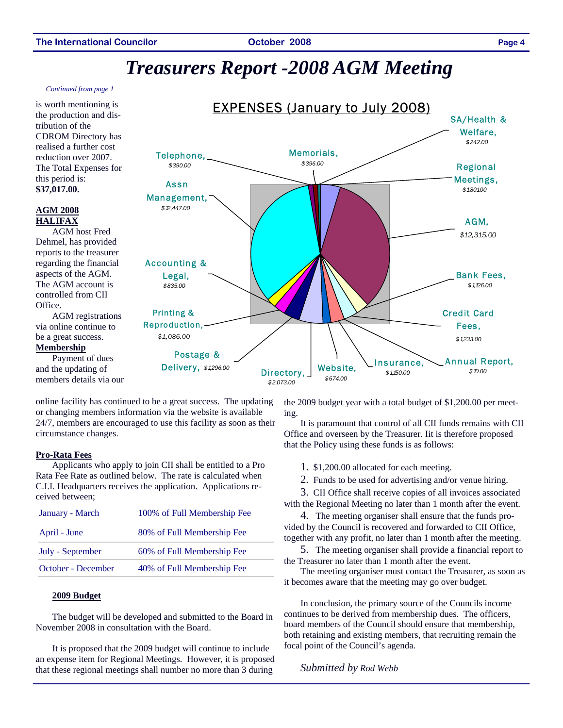# *Treasurers Report -2008 AGM Meeting*

### *Continued from page 1*

is worth mentioning is the production and distribution of the CDROM Directory has realised a further cost reduction over 2007. The Total Expenses for this period is: **\$37,017.00.** 

## **AGM 2008 HALIFAX**

AGM host Fred Dehmel, has provided reports to the treasurer regarding the financial aspects of the AGM. The AGM account is controlled from CII Office.

AGM registrations via online continue to be a great success.

## **Membership**

Payment of dues and the updating of members details via our



online facility has continued to be a great success. The updating or changing members information via the website is available 24/7, members are encouraged to use this facility as soon as their circumstance changes.

## **Pro-Rata Fees**

Applicants who apply to join CII shall be entitled to a Pro Rata Fee Rate as outlined below. The rate is calculated when C.I.I. Headquarters receives the application. Applications received between;

| 80% of Full Membership Fee<br>April - June       |  |
|--------------------------------------------------|--|
| 60% of Full Membership Fee<br>July - September   |  |
| 40% of Full Membership Fee<br>October - December |  |

### **2009 Budget**

The budget will be developed and submitted to the Board in November 2008 in consultation with the Board.

It is proposed that the 2009 budget will continue to include an expense item for Regional Meetings. However, it is proposed that these regional meetings shall number no more than 3 during

the 2009 budget year with a total budget of \$1,200.00 per meeting.

It is paramount that control of all CII funds remains with CII Office and overseen by the Treasurer. Iit is therefore proposed that the Policy using these funds is as follows:

- 1. \$1,200.00 allocated for each meeting.
- 2. Funds to be used for advertising and/or venue hiring.

3. CII Office shall receive copies of all invoices associated with the Regional Meeting no later than 1 month after the event.

4. The meeting organiser shall ensure that the funds provided by the Council is recovered and forwarded to CII Office, together with any profit, no later than 1 month after the meeting.

5. The meeting organiser shall provide a financial report to the Treasurer no later than 1 month after the event.

The meeting organiser must contact the Treasurer, as soon as it becomes aware that the meeting may go over budget.

In conclusion, the primary source of the Councils income continues to be derived from membership dues. The officers, board members of the Council should ensure that membership, both retaining and existing members, that recruiting remain the focal point of the Council's agenda.

## *Submitted by Rod Webb*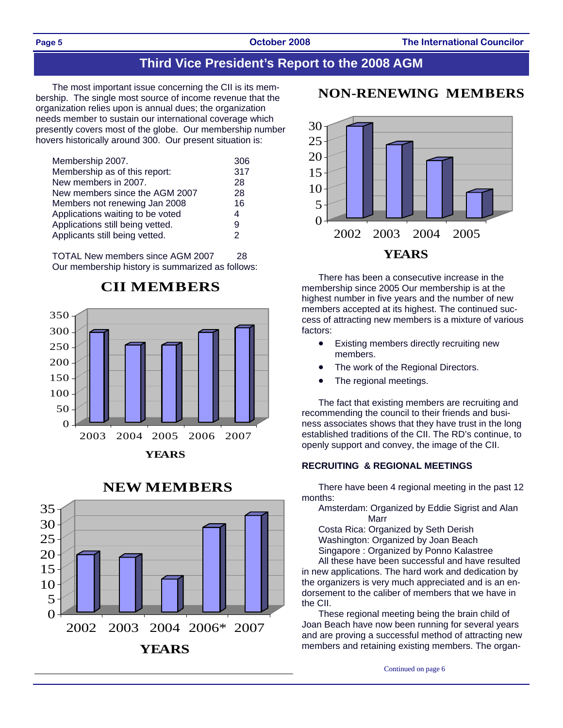# **Third Vice President's Report to the 2008 AGM**

The most important issue concerning the CII is its membership. The single most source of income revenue that the organization relies upon is annual dues; the organization needs member to sustain our international coverage which presently covers most of the globe. Our membership number hovers historically around 300. Our present situation is:

| Membership 2007.                 | 306 |
|----------------------------------|-----|
| Membership as of this report:    | 317 |
| New members in 2007.             | 28  |
| New members since the AGM 2007   | 28  |
| Members not renewing Jan 2008    | 16  |
| Applications waiting to be voted | 4   |
| Applications still being vetted. | 9   |
| Applicants still being vetted.   | 2   |

TOTAL New members since AGM 2007 28 Our membership history is summarized as follows:



# **CII MEMBERS**





## **NON-RENEWING MEMBERS**



There has been a consecutive increase in the membership since 2005 Our membership is at the highest number in five years and the number of new members accepted at its highest. The continued success of attracting new members is a mixture of various factors:

- Existing members directly recruiting new members.
- The work of the Regional Directors.
- The regional meetings.

The fact that existing members are recruiting and recommending the council to their friends and business associates shows that they have trust in the long established traditions of the CII. The RD's continue, to openly support and convey, the image of the CII.

## **RECRUITING & REGIONAL MEETINGS**

There have been 4 regional meeting in the past 12 months:

Amsterdam: Organized by Eddie Sigrist and Alan Marr

Costa Rica: Organized by Seth Derish Washington: Organized by Joan Beach

Singapore : Organized by Ponno Kalastree

All these have been successful and have resulted in new applications. The hard work and dedication by the organizers is very much appreciated and is an endorsement to the caliber of members that we have in the CII.

These regional meeting being the brain child of Joan Beach have now been running for several years and are proving a successful method of attracting new members and retaining existing members. The organ-

Continued on page 6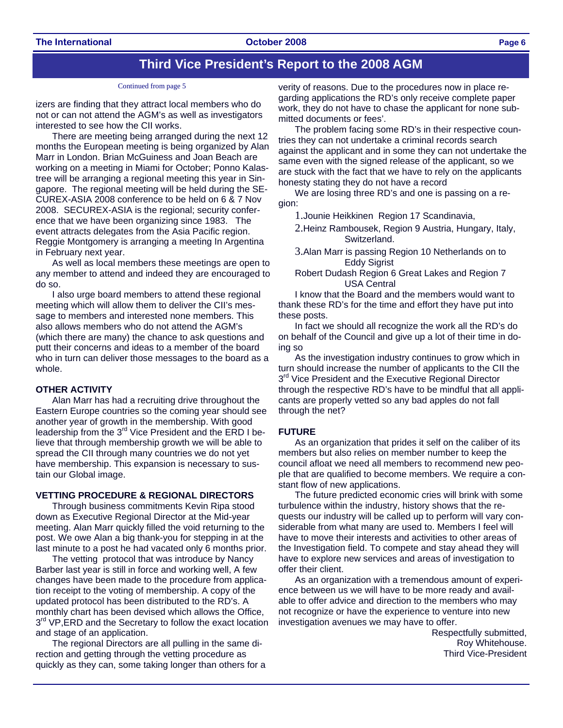## **Third Vice President's Report to the 2008 AGM**

### Continued from page 5

izers are finding that they attract local members who do not or can not attend the AGM's as well as investigators interested to see how the CII works.

There are meeting being arranged during the next 12 months the European meeting is being organized by Alan Marr in London. Brian McGuiness and Joan Beach are working on a meeting in Miami for October; Ponno Kalastree will be arranging a regional meeting this year in Singapore. The regional meeting will be held during the SE-CUREX-ASIA 2008 conference to be held on 6 & 7 Nov 2008. SECUREX-ASIA is the regional; security conference that we have been organizing since 1983. The event attracts delegates from the Asia Pacific region. Reggie Montgomery is arranging a meeting In Argentina in February next year.

As well as local members these meetings are open to any member to attend and indeed they are encouraged to do so.

I also urge board members to attend these regional meeting which will allow them to deliver the CII's message to members and interested none members. This also allows members who do not attend the AGM's (which there are many) the chance to ask questions and putt their concerns and ideas to a member of the board who in turn can deliver those messages to the board as a whole.

## **OTHER ACTIVITY**

Alan Marr has had a recruiting drive throughout the Eastern Europe countries so the coming year should see another year of growth in the membership. With good leadership from the 3<sup>rd</sup> Vice President and the ERD I believe that through membership growth we will be able to spread the CII through many countries we do not yet have membership. This expansion is necessary to sustain our Global image.

## **VETTING PROCEDURE & REGIONAL DIRECTORS**

Through business commitments Kevin Ripa stood down as Executive Regional Director at the Mid-year meeting. Alan Marr quickly filled the void returning to the post. We owe Alan a big thank-you for stepping in at the last minute to a post he had vacated only 6 months prior.

The vetting protocol that was introduce by Nancy Barber last year is still in force and working well, A few changes have been made to the procedure from application receipt to the voting of membership. A copy of the updated protocol has been distributed to the RD's. A monthly chart has been devised which allows the Office, 3<sup>rd</sup> VP, ERD and the Secretary to follow the exact location and stage of an application.

The regional Directors are all pulling in the same direction and getting through the vetting procedure as quickly as they can, some taking longer than others for a

verity of reasons. Due to the procedures now in place regarding applications the RD's only receive complete paper work, they do not have to chase the applicant for none submitted documents or fees'.

The problem facing some RD's in their respective countries they can not undertake a criminal records search against the applicant and in some they can not undertake the same even with the signed release of the applicant, so we are stuck with the fact that we have to rely on the applicants honesty stating they do not have a record

We are losing three RD's and one is passing on a region:

1.Jounie Heikkinen Region 17 Scandinavia,

- 2.Heinz Rambousek, Region 9 Austria, Hungary, Italy, Switzerland.
- 3.Alan Marr is passing Region 10 Netherlands on to Eddy Sigrist

Robert Dudash Region 6 Great Lakes and Region 7 USA Central

I know that the Board and the members would want to thank these RD's for the time and effort they have put into these posts.

In fact we should all recognize the work all the RD's do on behalf of the Council and give up a lot of their time in doing so

As the investigation industry continues to grow which in turn should increase the number of applicants to the CII the 3<sup>rd</sup> Vice President and the Executive Regional Director through the respective RD's have to be mindful that all applicants are properly vetted so any bad apples do not fall through the net?

### **FUTURE**

As an organization that prides it self on the caliber of its members but also relies on member number to keep the council afloat we need all members to recommend new people that are qualified to become members. We require a constant flow of new applications.

The future predicted economic cries will brink with some turbulence within the industry, history shows that the requests our industry will be called up to perform will vary considerable from what many are used to. Members I feel will have to move their interests and activities to other areas of the Investigation field. To compete and stay ahead they will have to explore new services and areas of investigation to offer their client.

As an organization with a tremendous amount of experience between us we will have to be more ready and available to offer advice and direction to the members who may not recognize or have the experience to venture into new investigation avenues we may have to offer.

 Respectfully submitted, Roy Whitehouse. Third Vice-President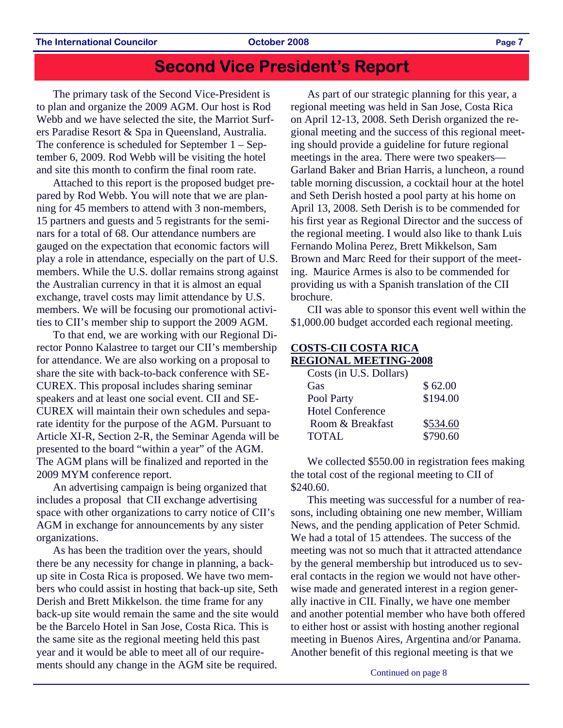# **Second Vice President's Report**

The primary task of the Second Vice-President is to plan and organize the 2009 AGM. Our host is Rod Webb and we have selected the site, the Marriot Surfers Paradise Resort & Spa in Queensland, Australia. The conference is scheduled for September 1 – September 6, 2009. Rod Webb will be visiting the hotel and site this month to confirm the final room rate.

Attached to this report is the proposed budget prepared by Rod Webb. You will note that we are planning for 45 members to attend with 3 non-members, 15 partners and guests and 5 registrants for the seminars for a total of 68. Our attendance numbers are gauged on the expectation that economic factors will play a role in attendance, especially on the part of U.S. members. While the U.S. dollar remains strong against the Australian currency in that it is almost an equal exchange, travel costs may limit attendance by U.S. members. We will be focusing our promotional activities to CII's member ship to support the 2009 AGM.

To that end, we are working with our Regional Director Ponno Kalastree to target our CII's membership for attendance. We are also working on a proposal to share the site with back-to-back conference with SE-CUREX. This proposal includes sharing seminar speakers and at least one social event. CII and SE-CUREX will maintain their own schedules and separate identity for the purpose of the AGM. Pursuant to Article XI-R, Section 2-R, the Seminar Agenda will be presented to the board "within a year" of the AGM. The AGM plans will be finalized and reported in the 2009 MYM conference report.

An advertising campaign is being organized that includes a proposal that CII exchange advertising space with other organizations to carry notice of CII's AGM in exchange for announcements by any sister organizations.

As has been the tradition over the years, should there be any necessity for change in planning, a backup site in Costa Rica is proposed. We have two members who could assist in hosting that back-up site, Seth Derish and Brett Mikkelson. the time frame for any back-up site would remain the same and the site would be the Barcelo Hotel in San Jose, Costa Rica. This is the same site as the regional meeting held this past year and it would be able to meet all of our requirements should any change in the AGM site be required.

As part of our strategic planning for this year, a regional meeting was held in San Jose, Costa Rica on April 12-13, 2008. Seth Derish organized the regional meeting and the success of this regional meeting should provide a guideline for future regional meetings in the area. There were two speakers— Garland Baker and Brian Harris, a luncheon, a round table morning discussion, a cocktail hour at the hotel and Seth Derish hosted a pool party at his home on April 13, 2008. Seth Derish is to be commended for his first year as Regional Director and the success of the regional meeting. I would also like to thank Luis Fernando Molina Perez, Brett Mikkelson, Sam Brown and Marc Reed for their support of the meeting. Maurice Armes is also to be commended for providing us with a Spanish translation of the CII brochure.

CII was able to sponsor this event well within the \$1,000.00 budget accorded each regional meeting.

## **COSTS-CII COSTA RICA REGIONAL MEETING-2008**

| Costs (in U.S. Dollars) |          |
|-------------------------|----------|
| Gas                     | \$62.00  |
| Pool Party              | \$194.00 |
| <b>Hotel Conference</b> |          |
| Room & Breakfast        | \$534.60 |
| <b>TOTAL</b>            | \$790.60 |

We collected \$550.00 in registration fees making the total cost of the regional meeting to CII of \$240.60.

This meeting was successful for a number of reasons, including obtaining one new member, William News, and the pending application of Peter Schmid. We had a total of 15 attendees. The success of the meeting was not so much that it attracted attendance by the general membership but introduced us to several contacts in the region we would not have otherwise made and generated interest in a region generally inactive in CII. Finally, we have one member and another potential member who have both offered to either host or assist with hosting another regional meeting in Buenos Aires, Argentina and/or Panama. Another benefit of this regional meeting is that we

Continued on page 8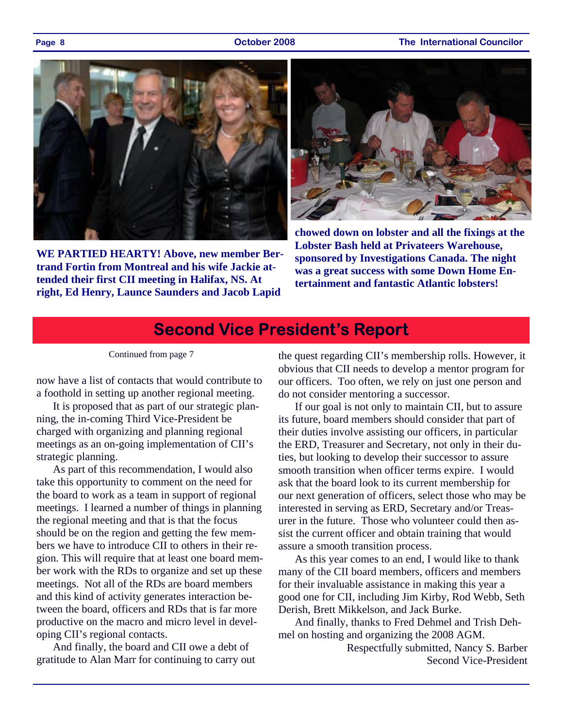## **Page 8 October 2008 The International Councilor**



**WE PARTIED HEARTY! Above, new member Bertrand Fortin from Montreal and his wife Jackie attended their first CII meeting in Halifax, NS. At right, Ed Henry, Launce Saunders and Jacob Lapid** 



**chowed down on lobster and all the fixings at the Lobster Bash held at Privateers Warehouse, sponsored by Investigations Canada. The night was a great success with some Down Home Entertainment and fantastic Atlantic lobsters!** 

# **Second Vice President's Report**

## Continued from page 7

now have a list of contacts that would contribute to a foothold in setting up another regional meeting.

It is proposed that as part of our strategic planning, the in-coming Third Vice-President be charged with organizing and planning regional meetings as an on-going implementation of CII's strategic planning.

As part of this recommendation, I would also take this opportunity to comment on the need for the board to work as a team in support of regional meetings. I learned a number of things in planning the regional meeting and that is that the focus should be on the region and getting the few members we have to introduce CII to others in their region. This will require that at least one board member work with the RDs to organize and set up these meetings. Not all of the RDs are board members and this kind of activity generates interaction between the board, officers and RDs that is far more productive on the macro and micro level in developing CII's regional contacts.

And finally, the board and CII owe a debt of gratitude to Alan Marr for continuing to carry out

the quest regarding CII's membership rolls. However, it obvious that CII needs to develop a mentor program for our officers. Too often, we rely on just one person and do not consider mentoring a successor.

If our goal is not only to maintain CII, but to assure its future, board members should consider that part of their duties involve assisting our officers, in particular the ERD, Treasurer and Secretary, not only in their duties, but looking to develop their successor to assure smooth transition when officer terms expire. I would ask that the board look to its current membership for our next generation of officers, select those who may be interested in serving as ERD, Secretary and/or Treasurer in the future. Those who volunteer could then assist the current officer and obtain training that would assure a smooth transition process.

As this year comes to an end, I would like to thank many of the CII board members, officers and members for their invaluable assistance in making this year a good one for CII, including Jim Kirby, Rod Webb, Seth Derish, Brett Mikkelson, and Jack Burke.

And finally, thanks to Fred Dehmel and Trish Dehmel on hosting and organizing the 2008 AGM.

> Respectfully submitted, Nancy S. Barber Second Vice-President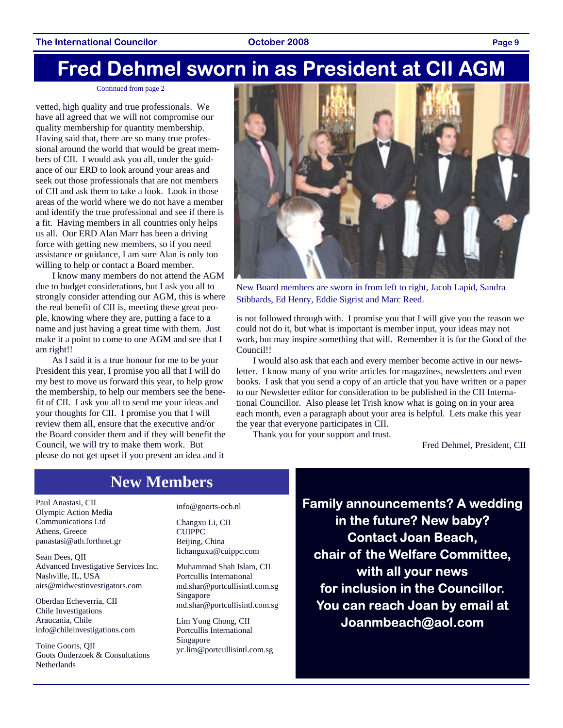# **Fred Dehmel sworn in as President at CII AGM**

### Continued from page 2

vetted, high quality and true professionals. We have all agreed that we will not compromise our quality membership for quantity membership. Having said that, there are so many true professional around the world that would be great members of CII. I would ask you all, under the guidance of our ERD to look around your areas and seek out those professionals that are not members of CII and ask them to take a look. Look in those areas of the world where we do not have a member and identify the true professional and see if there is a fit. Having members in all countries only helps us all. Our ERD Alan Marr has been a driving force with getting new members, so if you need assistance or guidance, I am sure Alan is only too willing to help or contact a Board member.

I know many members do not attend the AGM due to budget considerations, but I ask you all to strongly consider attending our AGM, this is where the real benefit of CII is, meeting these great people, knowing where they are, putting a face to a name and just having a great time with them. Just make it a point to come to one AGM and see that I am right!!

As I said it is a true honour for me to be your President this year, I promise you all that I will do my best to move us forward this year, to help grow the membership, to help our members see the benefit of CII. I ask you all to send me your ideas and your thoughts for CII. I promise you that I will review them all, ensure that the executive and/or the Board consider them and if they will benefit the Council, we will try to make them work. But please do not get upset if you present an idea and it



New Board members are sworn in from left to right, Jacob Lapid, Sandra Stibbards, Ed Henry, Eddie Sigrist and Marc Reed.

is not followed through with. I promise you that I will give you the reason we could not do it, but what is important is member input, your ideas may not work, but may inspire something that will. Remember it is for the Good of the Council!!

I would also ask that each and every member become active in our newsletter. I know many of you write articles for magazines, newsletters and even books. I ask that you send a copy of an article that you have written or a paper to our Newsletter editor for consideration to be published in the CII International Councillor. Also please let Trish know what is going on in your area each month, even a paragraph about your area is helpful. Lets make this year the year that everyone participates in CII.

Thank you for your support and trust.

Fred Dehmel, President, CII

# **New Members**

Paul Anastasi, CII Olympic Action Media Communications Ltd Athens, Greece panastasi@ath.forthnet.gr

Sean Dees, QII Advanced Investigative Services Inc. Nashville, IL, USA airs@midwestinvestigators.com

Oberdan Echeverria, CII Chile Investigations Araucania, Chile info@chileinvestigations.com

Toine Goorts, QII Goots Onderzoek & Consultations **Netherlands** 

info@goorts-ocb.nl

Changxu Li, CII CUIPPC Beijing, China lichanguxu@cuippc.com

Muhammad Shah Islam, CII Portcullis International md.shar@portcullisintl.com.sg Singapore md.shar@portcullisintl.com.sg

Lim Yong Chong, CII Portcullis International Singapore yc.lim@portcullisintl.com.sg **Family announcements? A wedding in the future? New baby? Contact Joan Beach, chair of the Welfare Committee, with all your news for inclusion in the Councillor. You can reach Joan by email at Joanmbeach@aol.com**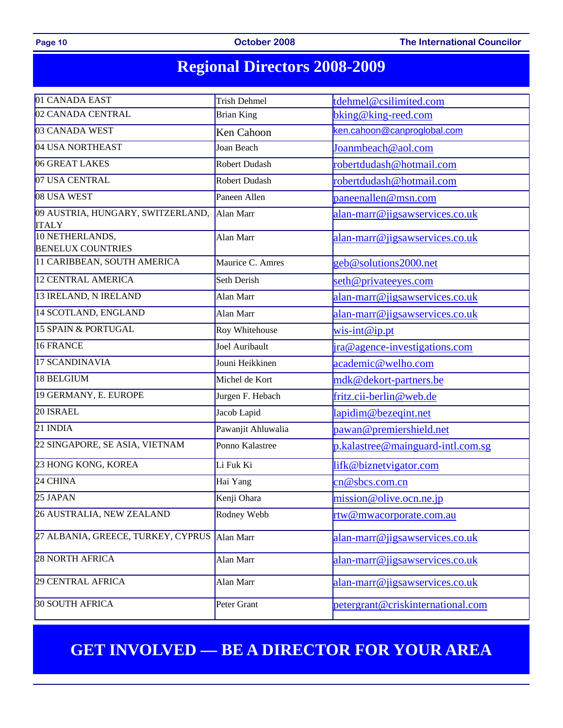Page 10 **CHOU COUNTER 10 COUNTER 10 OCTOBER 2008** The International Councilor

# **Regional Directors 2008-2009**

| 01 CANADA EAST                                    | <b>Trish Dehmel</b>                         | tdehmel@csilimited.com            |  |  |  |
|---------------------------------------------------|---------------------------------------------|-----------------------------------|--|--|--|
| 02 CANADA CENTRAL                                 | <b>Brian King</b>                           | bking@king-reed.com               |  |  |  |
| 03 CANADA WEST                                    | Ken Cahoon                                  | ken.cahoon@canproglobal.com       |  |  |  |
| 04 USA NORTHEAST                                  | Joan Beach                                  | Joanmbeach@aol.com                |  |  |  |
| 06 GREAT LAKES                                    | Robert Dudash<br>robertdudash@hotmail.com   |                                   |  |  |  |
| 07 USA CENTRAL                                    | Robert Dudash                               | robertdudash@hotmail.com          |  |  |  |
| 08 USA WEST                                       | Paneen Allen                                | paneenallen@msn.com               |  |  |  |
| 09 AUSTRIA, HUNGARY, SWITZERLAND,<br><b>ITALY</b> | Alan Marr                                   | alan-marr@jigsawservices.co.uk    |  |  |  |
| 10 NETHERLANDS,<br><b>BENELUX COUNTRIES</b>       | Alan Marr                                   | alan-marr@jigsawservices.co.uk    |  |  |  |
| 11 CARIBBEAN, SOUTH AMERICA                       | Maurice C. Amres                            | geb@solutions2000.net             |  |  |  |
| <b>12 CENTRAL AMERICA</b>                         | Seth Derish                                 | seth@privateeyes.com              |  |  |  |
| 13 IRELAND, N IRELAND                             | Alan Marr                                   | alan-marr@jigsawservices.co.uk    |  |  |  |
| 14 SCOTLAND, ENGLAND                              | Alan Marr                                   | alan-marr@jigsawservices.co.uk    |  |  |  |
| 15 SPAIN & PORTUGAL                               | Roy Whitehouse                              | $wis-int@ip.pt$                   |  |  |  |
| 16 FRANCE                                         | Joel Auribault                              | ira@agence-investigations.com     |  |  |  |
| 17 SCANDINAVIA                                    | Jouni Heikkinen                             | academic@welho.com                |  |  |  |
| 18 BELGIUM                                        | Michel de Kort                              | mdk@dekort-partners.be            |  |  |  |
| 19 GERMANY, E. EUROPE                             | Jurgen F. Hebach                            | fritz.cii-berlin@web.de           |  |  |  |
| 20 ISRAEL                                         | Jacob Lapid                                 | lapidim@bezeqint.net              |  |  |  |
| 21 INDIA                                          | Pawanjit Ahluwalia                          | pawan@premiershield.net           |  |  |  |
| 22 SINGAPORE, SE ASIA, VIETNAM                    | Ponno Kalastree                             | p.kalastree@mainguard-intl.com.sg |  |  |  |
| 23 HONG KONG, KOREA                               | Li Fuk Ki                                   | lifk@biznetvigator.com            |  |  |  |
| 24 CHINA                                          | Hai Yang                                    | cn@sbcs.com.cn                    |  |  |  |
| 25 JAPAN                                          | Kenji Ohara                                 | mission@olive.ocn.ne.jp           |  |  |  |
| 26 AUSTRALIA, NEW ZEALAND                         | Rodney Webb                                 | rtw@mwacorporate.com.au           |  |  |  |
| 27 ALBANIA, GREECE, TURKEY, CYPRUS                | Alan Marr                                   | alan-marr@jigsawservices.co.uk    |  |  |  |
| <b>28 NORTH AFRICA</b>                            | Alan Marr<br>alan-marr@jigsawservices.co.uk |                                   |  |  |  |
| 29 CENTRAL AFRICA                                 | Alan Marr                                   | alan-marr@jigsawservices.co.uk    |  |  |  |
| <b>30 SOUTH AFRICA</b>                            | Peter Grant                                 | petergrant@criskinternational.com |  |  |  |

# **GET INVOLVED — BE A DIRECTOR FOR YOUR AREA**